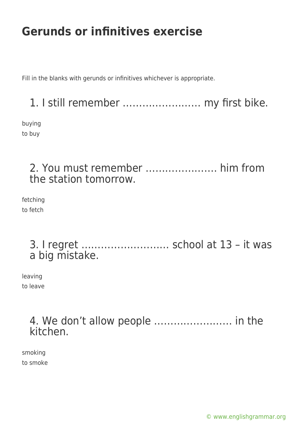Fill in the blanks with gerunds or infinitives whichever is appropriate.

### 1. I still remember …………………… my first bike.

buying to buy

### 2. You must remember …………………. him from the station tomorrow.

fetching to fetch

#### 3. I regret ……………………… school at 13 – it was a big mistake.

leaving to leave

#### 4. We don't allow people …………………… in the kitchen.

smoking to smoke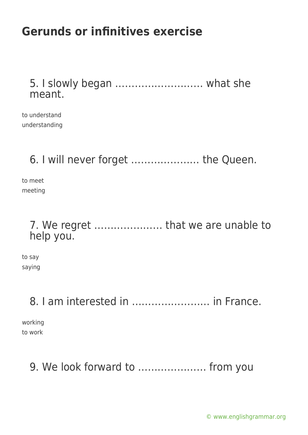#### 5. I slowly began ……………………… what she meant.

to understand understanding

## 6. I will never forget ………………… the Queen.

to meet meeting

#### 7. We regret ………………… that we are unable to help you.

to say saying

## 8. I am interested in …………………… in France.

working to work

## 9. We look forward to ………………… from you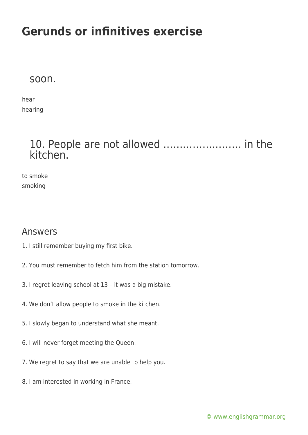#### soon.

hear hearing

#### 10. People are not allowed …………………… in the kitchen.

to smoke smoking

#### Answers

- 1. I still remember buying my first bike.
- 2. You must remember to fetch him from the station tomorrow.
- 3. I regret leaving school at 13 it was a big mistake.
- 4. We don't allow people to smoke in the kitchen.
- 5. I slowly began to understand what she meant.
- 6. I will never forget meeting the Queen.
- 7. We regret to say that we are unable to help you.
- 8. I am interested in working in France.